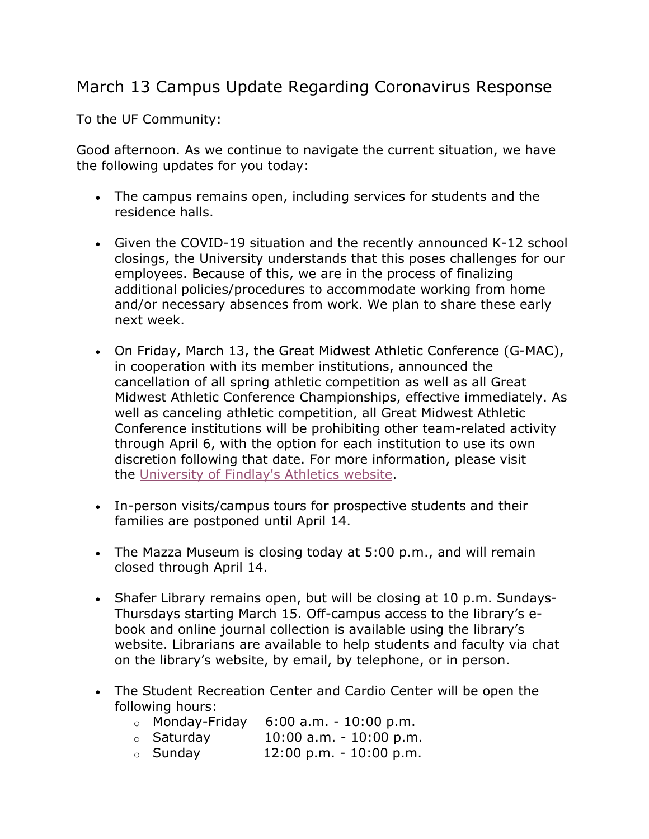## March 13 Campus Update Regarding Coronavirus Response

To the UF Community:

Good afternoon. As we continue to navigate the current situation, we have the following updates for you today:

- The campus remains open, including services for students and the residence halls.
- Given the COVID-19 situation and the recently announced K-12 school closings, the University understands that this poses challenges for our employees. Because of this, we are in the process of finalizing additional policies/procedures to accommodate working from home and/or necessary absences from work. We plan to share these early next week.
- On Friday, March 13, the Great Midwest Athletic Conference (G-MAC), in cooperation with its member institutions, announced the cancellation of all spring athletic competition as well as all Great Midwest Athletic Conference Championships, effective immediately. As well as canceling athletic competition, all Great Midwest Athletic Conference institutions will be prohibiting other team-related activity through April 6, with the option for each institution to use its own discretion following that date. For more information, please visit the University of Findlay's Athletics website.
- In-person visits/campus tours for prospective students and their families are postponed until April 14.
- The Mazza Museum is closing today at 5:00 p.m., and will remain closed through April 14.
- Shafer Library remains open, but will be closing at 10 p.m. Sundays-Thursdays starting March 15. Off-campus access to the library's ebook and online journal collection is available using the library's website. Librarians are available to help students and faculty via chat on the library's website, by email, by telephone, or in person.
- The Student Recreation Center and Cardio Center will be open the following hours:
	- $\circ$  Monday-Friday 6:00 a.m. 10:00 p.m.
	- $\circ$  Saturday 10:00 a.m. 10:00 p.m.
	- $\circ$  Sunday 12:00 p.m. 10:00 p.m.